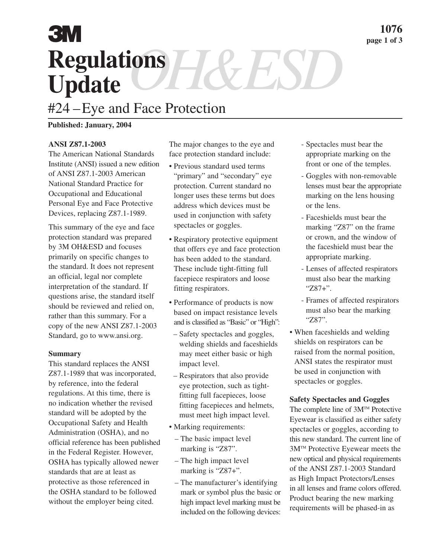# **Regulations** Regulations H&ESD **3M**

## #24 –Eye and Face Protection

## **Published: January, 2004**

### **ANSI Z87.1-2003**

The American National Standards Institute (ANSI) issued a new edition of ANSI Z87.1-2003 American National Standard Practice for Occupational and Educational Personal Eye and Face Protective Devices, replacing Z87.1-1989.

This summary of the eye and face protection standard was prepared by 3M OH&ESD and focuses primarily on specific changes to the standard. It does not represent an official, legal nor complete interpretation of the standard. If questions arise, the standard itself should be reviewed and relied on, rather than this summary. For a copy of the new ANSI Z87.1-2003 Standard, go to www.ansi.org.

#### **Summary**

This standard replaces the ANSI Z87.1-1989 that was incorporated, by reference, into the federal regulations. At this time, there is no indication whether the revised standard will be adopted by the Occupational Safety and Health Administration (OSHA), and no official reference has been published in the Federal Register. However, OSHA has typically allowed newer standards that are at least as protective as those referenced in the OSHA standard to be followed without the employer being cited.

The major changes to the eye and face protection standard include:

- Previous standard used terms "primary" and "secondary" eye protection. Current standard no longer uses these terms but does address which devices must be used in conjunction with safety spectacles or goggles.
- Respiratory protective equipment that offers eye and face protection has been added to the standard. These include tight-fitting full facepiece respirators and loose fitting respirators.
- Performance of products is now based on impact resistance levels and is classified as "Basic" or "High":
- Safety spectacles and goggles, welding shields and faceshields may meet either basic or high impact level.
- Respirators that also provide eye protection, such as tightfitting full facepieces, loose fitting facepieces and helmets, must meet high impact level.
- Marking requirements:
	- The basic impact level marking is "Z87".
	- The high impact level marking is "Z87+".
	- The manufacturer's identifying mark or symbol plus the basic or high impact level marking must be included on the following devices:
- Spectacles must bear the appropriate marking on the front or one of the temples.
- Goggles with non-removable lenses must bear the appropriate marking on the lens housing or the lens.
- Faceshields must bear the marking "Z87" on the frame or crown, and the window of the faceshield must bear the appropriate marking.
- Lenses of affected respirators must also bear the marking "Z87+".
- Frames of affected respirators must also bear the marking "Z87".
- When faceshields and welding shields on respirators can be raised from the normal position, ANSI states the respirator must be used in conjunction with spectacles or goggles.

#### **Safety Spectacles and Goggles**

The complete line of 3M™ Protective Eyewear is classified as either safety spectacles or goggles, according to this new standard. The current line of 3MTM Protective Eyewear meets the new optical and physical requirements of the ANSI Z87.1-2003 Standard as High Impact Protectors/Lenses in all lenses and frame colors offered. Product bearing the new marking requirements will be phased-in as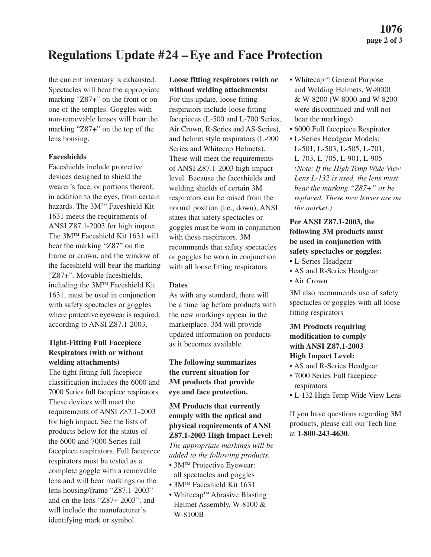## **Regulations Update #24 – Eye and Face Protection**

the current inventory is exhausted. Spectacles will bear the appropriate marking "Z87+" on the front or on one of the temples. Goggles with non-removable lenses will bear the marking "Z87+" on the top of the lens housing.

### **Faceshields**

Faceshields include protective devices designed to shield the wearer's face, or portions thereof, in addition to the eyes, from certain hazards. The 3M™ Faceshield Kit 1631 meets the requirements of ANSI Z87.1-2003 for high impact. The 3M™ Faceshield Kit 1631 will bear the marking "Z87" on the frame or crown, and the window of the faceshield will bear the marking "Z87+". Movable faceshields, including the  $3M<sup>TM</sup>$  Faceshield Kit 1631, must be used in conjunction with safety spectacles or goggles where protective eyewear is required, according to ANSI Z87.1-2003.

## **Tight-Fitting Full Facepiece Respirators (with or without welding attachments)**

The tight fitting full facepiece classification includes the 6000 and 7000 Series full facepiece respirators. These devices will meet the requirements of ANSI Z87.1-2003 for high impact. See the lists of products below for the status of the 6000 and 7000 Series full facepiece respirators. Full facepiece respirators must be tested as a complete goggle with a removable lens and will bear markings on the lens housing/frame "Z87.1-2003" and on the lens "Z87+ 2003", and will include the manufacturer's identifying mark or symbol.

## **Loose fitting respirators (with or**

**without welding attachments)** For this update, loose fitting respirators include loose fitting facepieces (L-500 and L-700 Series, Air Crown, R-Series and AS-Series), and helmet style respirators (L-900 Series and Whitecap Helmets). These will meet the requirements of ANSI Z87.1-2003 high impact level. Because the faceshields and welding shields of certain 3M respirators can be raised from the normal position (i.e., down), ANSI states that safety spectacles or goggles must be worn in conjunction with these respirators. 3M recommends that safety spectacles or goggles be worn in conjunction with all loose fitting respirators.

## **Dates**

As with any standard, there will be a time lag before products with the new markings appear in the marketplace. 3M will provide updated information on products as it becomes available.

## **The following summarizes the current situation for 3M products that provide eye and face protection.**

**3M Products that currently comply with the optical and physical requirements of ANSI Z87.1-2003 High Impact Level:** *The appropriate markings will be added to the following products.*

- 3M<sup>TM</sup> Protective Eyewear: all spectacles and goggles
- 3M<sup>TM</sup> Faceshield Kit 1631
- Whitecap<sup>TM</sup> Abrasive Blasting Helmet Assembly, W-8100 & W-8100B
- Whitecap<sup>TM</sup> General Purpose and Welding Helmets, W-8000 & W-8200 (W-8000 and W-8200 were discontinued and will not bear the markings)
- 6000 Full facepiece Respirator
- L-Series Headgear Models: L-501, L-503, L-505, L-701, L-703, L-705, L-901, L-905 *(Note: If the High Temp Wide View Lens L-132 is used, the lens must bear the marking "Z87+" or be replaced. These new lenses are on the market.)*

## **Per ANSI Z87.1-2003, the following 3M products must be used in conjunction with safety spectacles or goggles:**

- L-Series Headgear
- AS and R-Series Headgear
- Air Crown

3M also recommends use of safety spectacles or goggles with all loose fitting respirators

## **3M Products requiring modification to comply with ANSI Z87.1-2003 High Impact Level:**

- AS and R-Series Headgear
- 7000 Series Full facepiece respirators
- L-132 High Temp Wide View Lens

If you have questions regarding 3M products, please call our Tech line at **1-800-243-4630**.